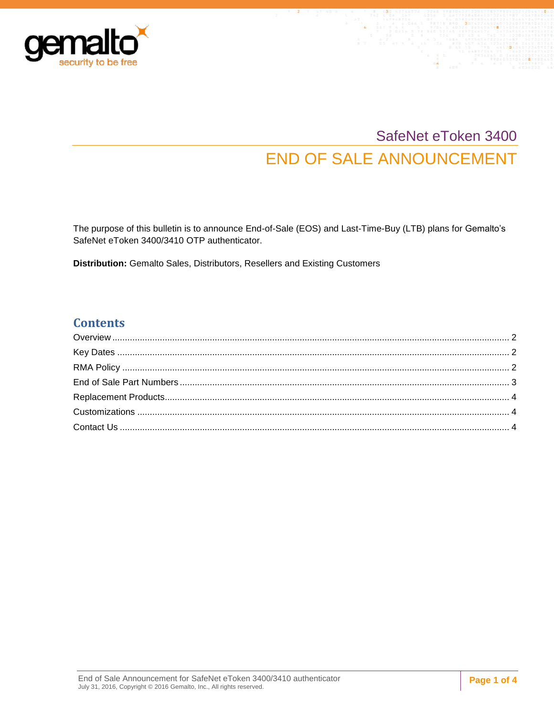

# SafeNet eToken 3400 **END OF SALE ANNOUNCEMENT**

The purpose of this bulletin is to announce End-of-Sale (EOS) and Last-Time-Buy (LTB) plans for Gemalto's SafeNet eToken 3400/3410 OTP authenticator.

Distribution: Gemalto Sales, Distributors, Resellers and Existing Customers

#### **Contents**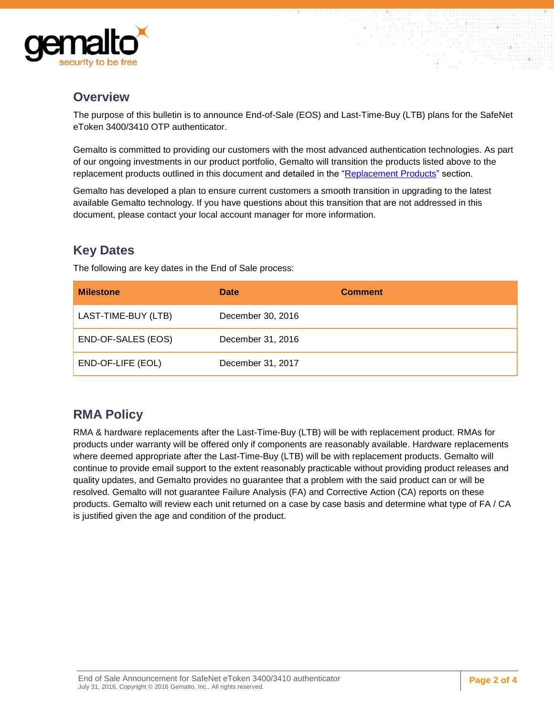

#### <span id="page-1-0"></span>**Overview**

The purpose of this bulletin is to announce End-of-Sale (EOS) and Last-Time-Buy (LTB) plans for the SafeNet eToken 3400/3410 OTP authenticator.

Gemalto is committed to providing our customers with the most advanced authentication technologies. As part of our ongoing investments in our product portfolio, Gemalto will transition the products listed above to the replacement products outlined in this document and detailed in the "Replacement Products" section.

Gemalto has developed a plan to ensure current customers a smooth transition in upgrading to the latest available Gemalto technology. If you have questions about this transition that are not addressed in this document, please contact your local account manager for more information.

## <span id="page-1-1"></span>**Key Dates**

The following are key dates in the End of Sale process:

| <b>Milestone</b>    | <b>Date</b>       | <b>Comment</b> |
|---------------------|-------------------|----------------|
| LAST-TIME-BUY (LTB) | December 30, 2016 |                |
| END-OF-SALES (EOS)  | December 31, 2016 |                |
| END-OF-LIFE (EOL)   | December 31, 2017 |                |

#### <span id="page-1-2"></span>**RMA Policy**

RMA & hardware replacements after the Last-Time-Buy (LTB) will be with replacement product. RMAs for products under warranty will be offered only if components are reasonably available. Hardware replacements where deemed appropriate after the Last-Time-Buy (LTB) will be with replacement products. Gemalto will continue to provide email support to the extent reasonably practicable without providing product releases and quality updates, and Gemalto provides no guarantee that a problem with the said product can or will be resolved. Gemalto will not guarantee Failure Analysis (FA) and Corrective Action (CA) reports on these products. Gemalto will review each unit returned on a case by case basis and determine what type of FA / CA is justified given the age and condition of the product.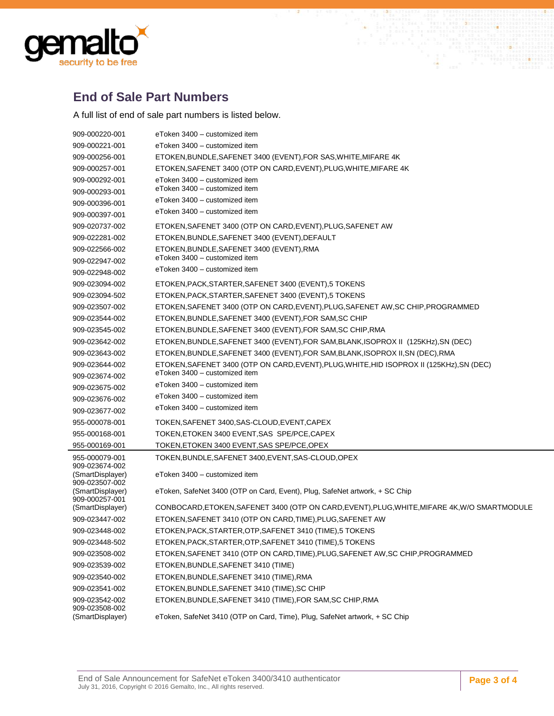

### <span id="page-2-0"></span>**End of Sale Part Numbers**

A full list of end of sale part numbers is listed below.

| 909-000220-001                     | eToken 3400 - customized item                                                                 |
|------------------------------------|-----------------------------------------------------------------------------------------------|
| 909-000221-001                     | eToken 3400 - customized item                                                                 |
| 909-000256-001                     | ETOKEN, BUNDLE, SAFENET 3400 (EVENT), FOR SAS, WHITE, MIFARE 4K                               |
| 909-000257-001                     | ETOKEN, SAFENET 3400 (OTP ON CARD, EVENT), PLUG, WHITE, MIFARE 4K                             |
| 909-000292-001                     | eToken 3400 - customized item                                                                 |
| 909-000293-001                     | eToken 3400 - customized item                                                                 |
| 909-000396-001                     | eToken 3400 - customized item                                                                 |
| 909-000397-001                     | eToken 3400 - customized item                                                                 |
| 909-020737-002                     | ETOKEN, SAFENET 3400 (OTP ON CARD, EVENT), PLUG, SAFENET AW                                   |
| 909-022281-002                     | ETOKEN, BUNDLE, SAFENET 3400 (EVENT), DEFAULT                                                 |
| 909-022566-002                     | ETOKEN, BUNDLE, SAFENET 3400 (EVENT), RMA                                                     |
| 909-022947-002                     | eToken 3400 - customized item                                                                 |
| 909-022948-002                     | eToken 3400 - customized item                                                                 |
| 909-023094-002                     | ETOKEN, PACK, STARTER, SAFENET 3400 (EVENT), 5 TOKENS                                         |
| 909-023094-502                     | ETOKEN, PACK, STARTER, SAFENET 3400 (EVENT), 5 TOKENS                                         |
| 909-023507-002                     | ETOKEN, SAFENET 3400 (OTP ON CARD, EVENT), PLUG, SAFENET AW, SC CHIP, PROGRAMMED              |
| 909-023544-002                     | ETOKEN, BUNDLE, SAFENET 3400 (EVENT), FOR SAM, SC CHIP                                        |
| 909-023545-002                     | ETOKEN, BUNDLE, SAFENET 3400 (EVENT), FOR SAM, SC CHIP, RMA                                   |
| 909-023642-002                     | ETOKEN, BUNDLE, SAFENET 3400 (EVENT), FOR SAM, BLANK, ISOPROX II (125KHz), SN (DEC)           |
| 909-023643-002                     | ETOKEN, BUNDLE, SAFENET 3400 (EVENT), FOR SAM, BLANK, ISOPROX II, SN (DEC), RMA               |
| 909-023644-002                     | ETOKEN, SAFENET 3400 (OTP ON CARD, EVENT), PLUG, WHITE, HID ISOPROX II (125KHz), SN (DEC)     |
| 909-023674-002                     | eToken 3400 - customized item                                                                 |
| 909-023675-002                     | eToken 3400 - customized item                                                                 |
| 909-023676-002                     | eToken 3400 - customized item                                                                 |
| 909-023677-002                     | eToken 3400 - customized item                                                                 |
| 955-000078-001                     | TOKEN, SAFENET 3400, SAS-CLOUD, EVENT, CAPEX                                                  |
| 955-000168-001                     | TOKEN, ETOKEN 3400 EVENT, SAS SPE/PCE, CAPEX                                                  |
| 955-000169-001                     | TOKEN, ETOKEN 3400 EVENT, SAS SPE/PCE, OPEX                                                   |
| 955-000079-001<br>909-023674-002   | TOKEN, BUNDLE, SAFENET 3400, EVENT, SAS-CLOUD, OPEX                                           |
| (SmartDisplayer)                   | eToken 3400 - customized item                                                                 |
| 909-023507-002<br>(SmartDisplayer) | eToken, SafeNet 3400 (OTP on Card, Event), Plug, SafeNet artwork, + SC Chip                   |
| 909-000257-001<br>(SmartDisplayer) | CONBOCARD, ETOKEN, SAFENET 3400 (OTP ON CARD, EVENT), PLUG, WHITE, MIFARE 4K, W/O SMARTMODULE |
| 909-023447-002                     | ETOKEN, SAFENET 3410 (OTP ON CARD, TIME), PLUG, SAFENET AW                                    |
| 909-023448-002                     | ETOKEN, PACK, STARTER, OTP, SAFENET 3410 (TIME), 5 TOKENS                                     |
| 909-023448-502                     | ETOKEN, PACK, STARTER, OTP, SAFENET 3410 (TIME), 5 TOKENS                                     |
| 909-023508-002                     | ETOKEN, SAFENET 3410 (OTP ON CARD, TIME), PLUG, SAFENET AW, SC CHIP, PROGRAMMED               |
| 909-023539-002                     | ETOKEN, BUNDLE, SAFENET 3410 (TIME)                                                           |
| 909-023540-002                     | ETOKEN, BUNDLE, SAFENET 3410 (TIME), RMA                                                      |
| 909-023541-002                     | ETOKEN, BUNDLE, SAFENET 3410 (TIME), SC CHIP                                                  |
| 909-023542-002<br>909-023508-002   | ETOKEN, BUNDLE, SAFENET 3410 (TIME), FOR SAM, SC CHIP, RMA                                    |
| (SmartDisplayer)                   | eToken, SafeNet 3410 (OTP on Card, Time), Plug, SafeNet artwork, + SC Chip                    |